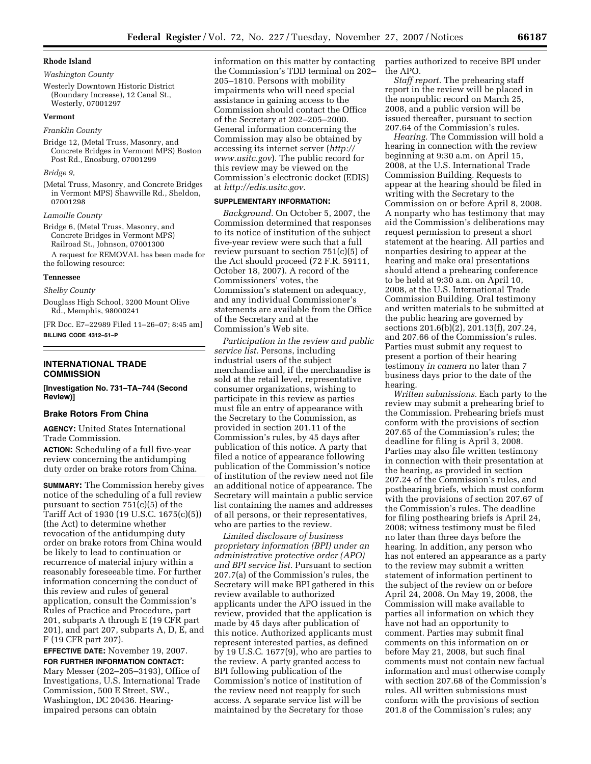# *Washington County*

Westerly Downtown Historic District (Boundary Increase), 12 Canal St., Westerly, 07001297

### **Vermont**

#### *Franklin County*

Bridge 12, (Metal Truss, Masonry, and Concrete Bridges in Vermont MPS) Boston Post Rd., Enosburg, 07001299

### *Bridge 9,*

(Metal Truss, Masonry, and Concrete Bridges in Vermont MPS) Shawville Rd., Sheldon, 07001298

#### *Lamoille County*

- Bridge 6, (Metal Truss, Masonry, and Concrete Bridges in Vermont MPS) Railroad St., Johnson, 07001300 A request for REMOVAL has been made for
- the following resource:

#### **Tennessee**

### *Shelby County*

Douglass High School, 3200 Mount Olive Rd., Memphis, 98000241

[FR Doc. E7–22989 Filed 11–26–07; 8:45 am] **BILLING CODE 4312–51–P** 

# **INTERNATIONAL TRADE COMMISSION**

**[Investigation No. 731–TA–744 (Second Review)]** 

### **Brake Rotors From China**

**AGENCY:** United States International Trade Commission.

**ACTION:** Scheduling of a full five-year review concerning the antidumping duty order on brake rotors from China.

**SUMMARY:** The Commission hereby gives notice of the scheduling of a full review pursuant to section 751(c)(5) of the Tariff Act of 1930 (19 U.S.C. 1675(c)(5)) (the Act) to determine whether revocation of the antidumping duty order on brake rotors from China would be likely to lead to continuation or recurrence of material injury within a reasonably foreseeable time. For further information concerning the conduct of this review and rules of general application, consult the Commission's Rules of Practice and Procedure, part 201, subparts A through E (19 CFR part 201), and part 207, subparts A, D, E, and F (19 CFR part 207).

**EFFECTIVE DATE:** November 19, 2007.

**FOR FURTHER INFORMATION CONTACT:**  Mary Messer (202–205–3193), Office of Investigations, U.S. International Trade Commission, 500 E Street, SW., Washington, DC 20436. Hearingimpaired persons can obtain

information on this matter by contacting the Commission's TDD terminal on 202– 205–1810. Persons with mobility impairments who will need special assistance in gaining access to the Commission should contact the Office of the Secretary at 202–205–2000. General information concerning the Commission may also be obtained by accessing its internet server (*http:// www.usitc.gov*). The public record for this review may be viewed on the Commission's electronic docket (EDIS) at *http://edis.usitc.gov.* 

# **SUPPLEMENTARY INFORMATION:**

*Background.* On October 5, 2007, the Commission determined that responses to its notice of institution of the subject five-year review were such that a full review pursuant to section 751(c)(5) of the Act should proceed (72 F.R. 59111, October 18, 2007). A record of the Commissioners' votes, the Commission's statement on adequacy, and any individual Commissioner's statements are available from the Office of the Secretary and at the Commission's Web site.

*Participation in the review and public service list.* Persons, including industrial users of the subject merchandise and, if the merchandise is sold at the retail level, representative consumer organizations, wishing to participate in this review as parties must file an entry of appearance with the Secretary to the Commission, as provided in section 201.11 of the Commission's rules, by 45 days after publication of this notice. A party that filed a notice of appearance following publication of the Commission's notice of institution of the review need not file an additional notice of appearance. The Secretary will maintain a public service list containing the names and addresses of all persons, or their representatives, who are parties to the review.

*Limited disclosure of business proprietary information (BPI) under an administrative protective order (APO) and BPI service list.* Pursuant to section 207.7(a) of the Commission's rules, the Secretary will make BPI gathered in this review available to authorized applicants under the APO issued in the review, provided that the application is made by 45 days after publication of this notice. Authorized applicants must represent interested parties, as defined by 19 U.S.C. 1677(9), who are parties to the review. A party granted access to BPI following publication of the Commission's notice of institution of the review need not reapply for such access. A separate service list will be maintained by the Secretary for those

parties authorized to receive BPI under the APO.

*Staff report.* The prehearing staff report in the review will be placed in the nonpublic record on March 25, 2008, and a public version will be issued thereafter, pursuant to section 207.64 of the Commission's rules.

*Hearing.* The Commission will hold a hearing in connection with the review beginning at 9:30 a.m. on April 15, 2008, at the U.S. International Trade Commission Building. Requests to appear at the hearing should be filed in writing with the Secretary to the Commission on or before April 8, 2008. A nonparty who has testimony that may aid the Commission's deliberations may request permission to present a short statement at the hearing. All parties and nonparties desiring to appear at the hearing and make oral presentations should attend a prehearing conference to be held at 9:30 a.m. on April 10, 2008, at the U.S. International Trade Commission Building. Oral testimony and written materials to be submitted at the public hearing are governed by sections 201.6(b)(2), 201.13(f), 207.24, and 207.66 of the Commission's rules. Parties must submit any request to present a portion of their hearing testimony *in camera* no later than 7 business days prior to the date of the hearing.

*Written submissions.* Each party to the review may submit a prehearing brief to the Commission. Prehearing briefs must conform with the provisions of section 207.65 of the Commission's rules; the deadline for filing is April 3, 2008. Parties may also file written testimony in connection with their presentation at the hearing, as provided in section 207.24 of the Commission's rules, and posthearing briefs, which must conform with the provisions of section 207.67 of the Commission's rules. The deadline for filing posthearing briefs is April 24, 2008; witness testimony must be filed no later than three days before the hearing. In addition, any person who has not entered an appearance as a party to the review may submit a written statement of information pertinent to the subject of the review on or before April 24, 2008. On May 19, 2008, the Commission will make available to parties all information on which they have not had an opportunity to comment. Parties may submit final comments on this information on or before May 21, 2008, but such final comments must not contain new factual information and must otherwise comply with section 207.68 of the Commission's rules. All written submissions must conform with the provisions of section 201.8 of the Commission's rules; any